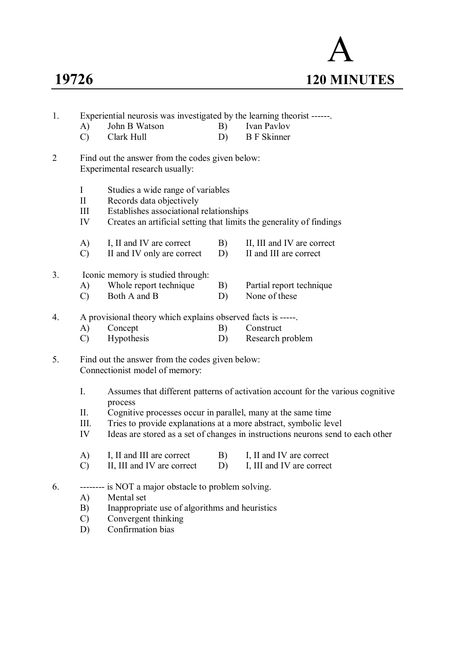

| 1.             | A)<br>$\mathcal{C}$                   | John B Watson<br>Clark Hull                                                                                                                                                                                                                                                                                       | B)<br>D) | Experiential neurosis was investigated by the learning theorist ------<br>Ivan Pavlov<br><b>B</b> F Skinner |  |  |  |  |  |  |
|----------------|---------------------------------------|-------------------------------------------------------------------------------------------------------------------------------------------------------------------------------------------------------------------------------------------------------------------------------------------------------------------|----------|-------------------------------------------------------------------------------------------------------------|--|--|--|--|--|--|
| $\overline{2}$ |                                       | Find out the answer from the codes given below:<br>Experimental research usually:                                                                                                                                                                                                                                 |          |                                                                                                             |  |  |  |  |  |  |
|                | $\bf{I}$<br>$\mathbf{I}$<br>III<br>IV | Studies a wide range of variables<br>Records data objectively<br>Establishes associational relationships<br>Creates an artificial setting that limits the generality of findings                                                                                                                                  |          |                                                                                                             |  |  |  |  |  |  |
|                | A)<br>$\mathcal{C}$                   | I, II and IV are correct<br>II and IV only are correct                                                                                                                                                                                                                                                            | B)<br>D) | II, III and IV are correct<br>II and III are correct                                                        |  |  |  |  |  |  |
| 3.             | A)<br>$\mathcal{C}$                   | Iconic memory is studied through:<br>Whole report technique<br>Both A and B                                                                                                                                                                                                                                       | B)<br>D) | Partial report technique<br>None of these                                                                   |  |  |  |  |  |  |
| 4.             | A)<br>$\mathcal{C}$                   | A provisional theory which explains observed facts is -----.<br>Concept<br>Hypothesis                                                                                                                                                                                                                             | B)<br>D) | Construct<br>Research problem                                                                               |  |  |  |  |  |  |
| 5.             |                                       | Find out the answer from the codes given below:<br>Connectionist model of memory:                                                                                                                                                                                                                                 |          |                                                                                                             |  |  |  |  |  |  |
|                | I.<br>II.<br>III.<br>IV               | Assumes that different patterns of activation account for the various cognitive<br>process<br>Cognitive processes occur in parallel, many at the same time<br>Tries to provide explanations at a more abstract, symbolic level<br>Ideas are stored as a set of changes in instructions neurons send to each other |          |                                                                                                             |  |  |  |  |  |  |
|                | A)<br>$\mathcal{C}$                   | I, II and III are correct<br>II, III and IV are correct                                                                                                                                                                                                                                                           | B)<br>D) | I, II and IV are correct<br>I, III and IV are correct                                                       |  |  |  |  |  |  |
| 6.             | A)<br>B)<br>$\mathcal{C}$<br>D)       | is NOT a major obstacle to problem solving.<br>Mental set<br>Inappropriate use of algorithms and heuristics<br>Convergent thinking<br>Confirmation bias                                                                                                                                                           |          |                                                                                                             |  |  |  |  |  |  |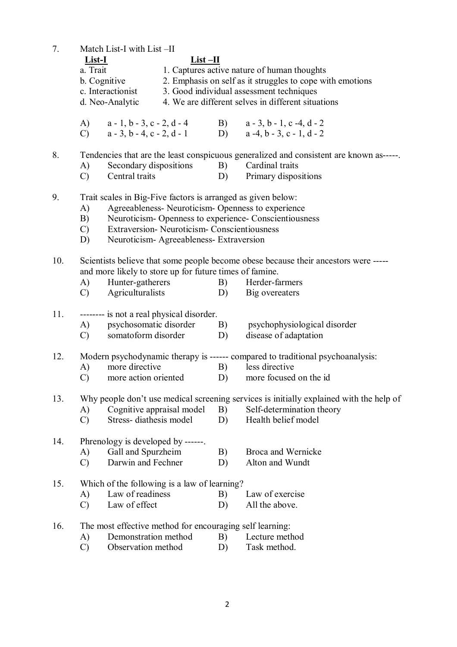7. Match List-I with List –II **List-I List –II** a. Trait 1. Captures active nature of human thoughts b. Cognitive 2. Emphasis on self as it struggles to cope with emotions c. Interactionist 3. Good individual assessment techniques d. Neo-Analytic 4. We are different selves in different situations A)  $a - 1$ ,  $b - 3$ ,  $c - 2$ ,  $d - 4$  B)  $a - 3$ ,  $b - 1$ ,  $c - 4$ ,  $d - 2$ <br>
C)  $a - 3$ ,  $b - 4$ ,  $c - 2$ ,  $d - 1$  D)  $a - 4$ ,  $b - 3$ ,  $c - 1$ ,  $d - 2$ C)  $a - 3, b - 4, c - 2, d - 1$  D) 8. Tendencies that are the least conspicuous generalized and consistent are known as-----. A) Secondary dispositions B) Cardinal traits C) Central traits D) Primary dispositions 9. Trait scales in Big-Five factors is arranged as given below: A) Agreeableness- Neuroticism- Openness to experience B) Neuroticism- Openness to experience- Conscientiousness C) Extraversion- Neuroticism- Conscientiousness D) Neuroticism- Agreeableness- Extraversion 10. Scientists believe that some people become obese because their ancestors were ---- and more likely to store up for future times of famine. A) Hunter-gatherers B) Herder-farmers C) Agriculturalists D) Big overeaters 11. -------- is not a real physical disorder.<br>A) psychosomatic disorder A) psychosomatic disorder B) psychophysiological disorder C) somatoform disorder D) disease of adaptation 12. Modern psychodynamic therapy is ------ compared to traditional psychoanalysis: A) more directive B) less directive C) more action oriented D) more focused on the id 13. Why people don't use medical screening services is initially explained with the help of A) Cognitive appraisal model B) Self-determination theory A) Cognitive appraisal model  $\overline{B}$ ) C) Stress- diathesis model D) Health belief model 14. Phrenology is developed by ------. A) Gall and Spurzheim B) Broca and Wernicke C) Darwin and Fechner D) Alton and Wundt 15. Which of the following is a law of learning? A) Law of readiness B) Law of exercise C) Law of effect D) All the above.

- 16. The most effective method for encouraging self learning:<br>
A) Demonstration method B) Lecture method
	- A) Demonstration method B)
	- C) Observation method D) Task method.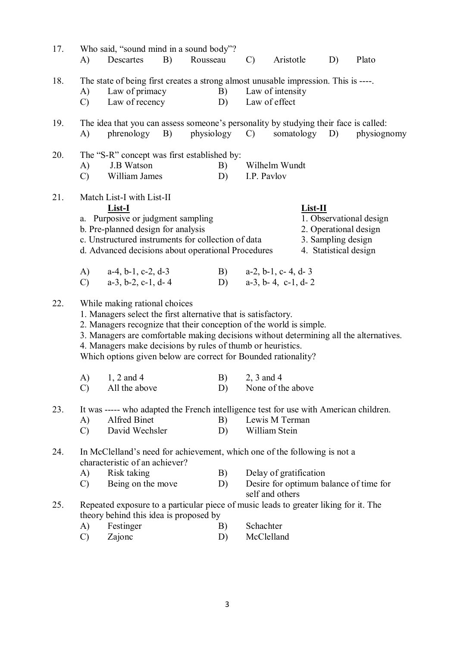| 17. | A)                  | Who said, "sound mind in a sound body"?<br>Descartes                                                                                                                                                                                                                                                    | B) | Rousseau | $\mathcal{C}$ | Aristotle                                                                           | D)                 | Plato                                                                                  |
|-----|---------------------|---------------------------------------------------------------------------------------------------------------------------------------------------------------------------------------------------------------------------------------------------------------------------------------------------------|----|----------|---------------|-------------------------------------------------------------------------------------|--------------------|----------------------------------------------------------------------------------------|
| 18. | A)<br>$\mathcal{C}$ | The state of being first creates a strong almost unusable impression. This is ----.<br>Law of primacy<br>Law of recency                                                                                                                                                                                 |    | B)<br>D) |               | Law of intensity<br>Law of effect                                                   |                    |                                                                                        |
| 19. | A)                  | The idea that you can assess someone's personality by studying their face is called:<br>$phrenology$ B)                                                                                                                                                                                                 |    |          |               | physiology C) somatology D)                                                         |                    | physiognomy                                                                            |
| 20. | A)<br>$\mathcal{C}$ | The "S-R" concept was first established by:<br>J.B Watson<br>William James                                                                                                                                                                                                                              |    | B)<br>D) | I.P. Pavlov   | Wilhelm Wundt                                                                       |                    |                                                                                        |
| 21. |                     | Match List-I with List-II<br>List-I<br>a. Purposive or judgment sampling<br>b. Pre-planned design for analysis<br>c. Unstructured instruments for collection of data<br>d. Advanced decisions about operational Procedures                                                                              |    |          |               | List-II                                                                             | 3. Sampling design | 1. Observational design<br>2. Operational design<br>4. Statistical design              |
|     | A)<br>$\mathcal{C}$ | $a-4$ , $b-1$ , $c-2$ , $d-3$<br>$a-3$ , $b-2$ , $c-1$ , $d-4$                                                                                                                                                                                                                                          |    | D)       |               | B) $a-2, b-1, c-4, d-3$<br>$a-3$ , $b-4$ , $c-1$ , $d-2$                            |                    |                                                                                        |
| 22. |                     | While making rational choices<br>1. Managers select the first alternative that is satisfactory.<br>2. Managers recognize that their conception of the world is simple.<br>4. Managers make decisions by rules of thumb or heuristics.<br>Which options given below are correct for Bounded rationality? |    |          |               |                                                                                     |                    | 3. Managers are comfortable making decisions without determining all the alternatives. |
|     | A)<br>$\mathcal{C}$ | $1, 2$ and 4<br>All the above                                                                                                                                                                                                                                                                           |    | B)       | 2, 3 and 4    | D) None of the above                                                                |                    |                                                                                        |
| 23. | A)<br>$\mathcal{C}$ | It was ----- who adapted the French intelligence test for use with American children.<br>Alfred Binet<br>David Wechsler                                                                                                                                                                                 |    | B)<br>D) |               | Lewis M Terman<br>William Stein                                                     |                    |                                                                                        |
| 24. |                     | In McClelland's need for achievement, which one of the following is not a<br>characteristic of an achiever?                                                                                                                                                                                             |    |          |               |                                                                                     |                    |                                                                                        |
|     | A)<br>$\mathcal{C}$ | Risk taking<br>Being on the move                                                                                                                                                                                                                                                                        |    | B)<br>D) |               | Delay of gratification<br>Desire for optimum balance of time for<br>self and others |                    |                                                                                        |
| 25. | A)                  | Repeated exposure to a particular piece of music leads to greater liking for it. The<br>theory behind this idea is proposed by<br>Festinger                                                                                                                                                             |    | B)       | Schachter     |                                                                                     |                    |                                                                                        |
|     | $\mathcal{C}$       | Zajonc                                                                                                                                                                                                                                                                                                  |    | D)       | McClelland    |                                                                                     |                    |                                                                                        |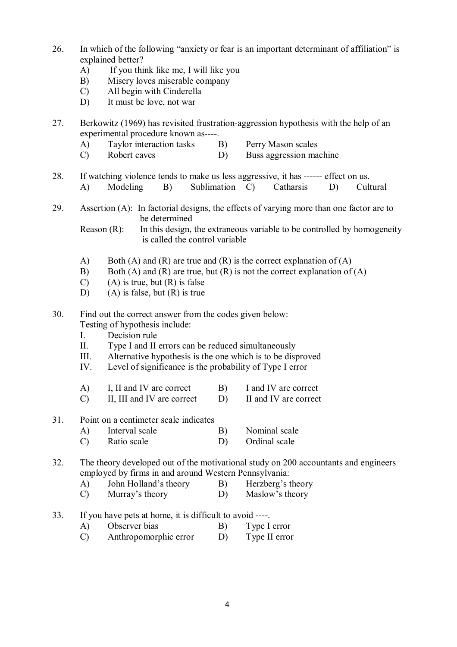- 26. In which of the following "anxiety or fear is an important determinant of affiliation" is explained better?
	- A) If you think like me, I will like you
	- B) Misery loves miserable company
	- C) All begin with Cinderella
	- D) It must be love, not war
- 27. Berkowitz (1969) has revisited frustration-aggression hypothesis with the help of an experimental procedure known as----.
	- A) Taylor interaction tasks B) Perry Mason scales
	- C) Robert caves D) Buss aggression machine
- 28. If watching violence tends to make us less aggressive, it has ------ effect on us. A) Modeling B) Sublimation C) Catharsis D) Cultural
- 29. Assertion (A): In factorial designs, the effects of varying more than one factor are to be determined

Reason (R): In this design, the extraneous variable to be controlled by homogeneity is called the control variable

- A) Both (A) and (R) are true and (R) is the correct explanation of (A)
- B) Both (A) and (R) are true, but (R) is not the correct explanation of (A)
- $(C)$  (A) is true, but  $(R)$  is false
- D) (A) is false, but (R) is true
- 30. Find out the correct answer from the codes given below: Testing of hypothesis include:
	- I. Decision rule
	- II. Type I and II errors can be reduced simultaneously
	- III. Alternative hypothesis is the one which is to be disproved
	- IV. Level of significance is the probability of Type I error
	- A) I, II and IV are correct B) I and IV are correct
	- C) II, III and IV are correct D) II and IV are correct

## 31. Point on a centimeter scale indicates

- A) Interval scale B) Nominal scale
- C) Ratio scale D) Ordinal scale

32. The theory developed out of the motivational study on 200 accountants and engineers employed by firms in and around Western Pennsylvania:

- A) John Holland's theory B) Herzberg's theory
- C) Murray's theory D) Maslow's theory
- 33. If you have pets at home, it is difficult to avoid ----.
	- A) Observer bias B) Type I error
	- C) Anthropomorphic error D) Type II error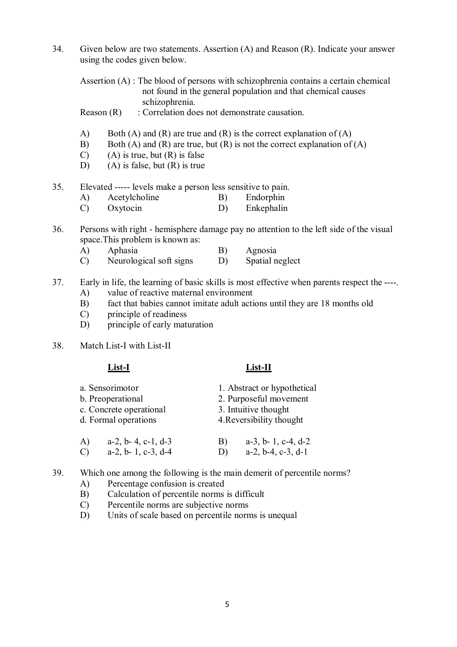34. Given below are two statements. Assertion (A) and Reason (R). Indicate your answer using the codes given below.

Assertion (A) : The blood of persons with schizophrenia contains a certain chemical not found in the general population and that chemical causes schizophrenia.

Reason (R) : Correlation does not demonstrate causation.

- A) Both (A) and (R) are true and (R) is the correct explanation of (A)
- B) Both (A) and (R) are true, but (R) is not the correct explanation of (A)
- $(C)$  (A) is true, but  $(R)$  is false
- D) (A) is false, but (R) is true
- 35. Elevated ----- levels make a person less sensitive to pain.
	- A) Acetylcholine B) Endorphin
	- C) Oxytocin D) Enkephalin
- 36. Persons with right hemisphere damage pay no attention to the left side of the visual space.This problem is known as:
	- A) Aphasia B) Agnosia
	- C) Neurological soft signs D) Spatial neglect
- 37. Early in life, the learning of basic skills is most effective when parents respect the ----.
	- A) value of reactive maternal environment
	- B) fact that babies cannot imitate adult actions until they are 18 months old
	- C) principle of readiness
	- D) principle of early maturation
- 38. Match List-I with List-II

### **List-I List-II**

- a. Sensorimotor 1. Abstract or hypothetical b. Preoperational 2. Purposeful movement c. Concrete operational 3. Intuitive thought d. Formal operations 4.Reversibility thought A) a-2, b- 4, c-1, d-3 B) a-3, b- 1, c-4, d-2<br>
C) a-2, b- 1, c-3, d-4 D) a-2, b-4, c-3, d-1 C)  $a-2, b-1, c-3, d-4$
- 39. Which one among the following is the main demerit of percentile norms?
	- A) Percentage confusion is created
	- B) Calculation of percentile norms is difficult
	- C) Percentile norms are subjective norms
	- D) Units of scale based on percentile norms is unequal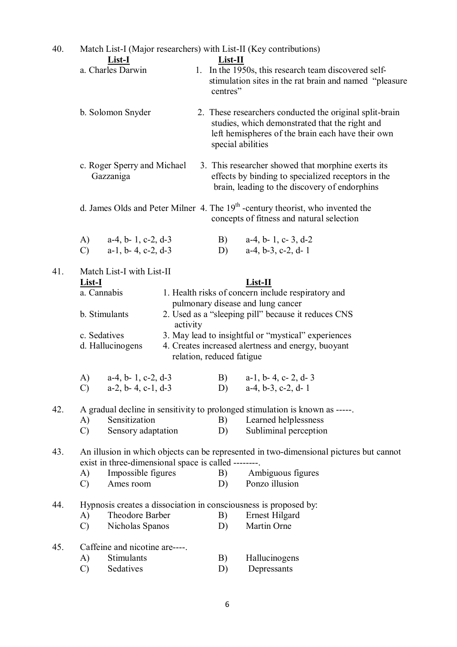| 40. | Match List-I (Major researchers) with List-II (Key contributions)<br><b>List-I</b><br>$List-II$                               |                                                                                                                     |          |  |                                                                                                                                                                                     |                                                                                                                                                                                                                                                                                                           |  |  |  |  |
|-----|-------------------------------------------------------------------------------------------------------------------------------|---------------------------------------------------------------------------------------------------------------------|----------|--|-------------------------------------------------------------------------------------------------------------------------------------------------------------------------------------|-----------------------------------------------------------------------------------------------------------------------------------------------------------------------------------------------------------------------------------------------------------------------------------------------------------|--|--|--|--|
|     | a. Charles Darwin                                                                                                             |                                                                                                                     |          |  | 1. In the 1950s, this research team discovered self-<br>stimulation sites in the rat brain and named "pleasure<br>centres"                                                          |                                                                                                                                                                                                                                                                                                           |  |  |  |  |
|     | b. Solomon Snyder                                                                                                             |                                                                                                                     |          |  | 2. These researchers conducted the original split-brain<br>studies, which demonstrated that the right and<br>left hemispheres of the brain each have their own<br>special abilities |                                                                                                                                                                                                                                                                                                           |  |  |  |  |
|     |                                                                                                                               | c. Roger Sperry and Michael<br>Gazzaniga                                                                            |          |  | 3. This researcher showed that morphine exerts its<br>effects by binding to specialized receptors in the<br>brain, leading to the discovery of endorphins                           |                                                                                                                                                                                                                                                                                                           |  |  |  |  |
|     | d. James Olds and Peter Milner 4. The $19th$ -century theorist, who invented the<br>concepts of fitness and natural selection |                                                                                                                     |          |  |                                                                                                                                                                                     |                                                                                                                                                                                                                                                                                                           |  |  |  |  |
|     | $\bf{A}$ )<br>$\mathcal{C}$                                                                                                   | $a-4$ , $b-1$ , $c-2$ , $d-3$<br>$a-1$ , $b-4$ , $c-2$ , $d-3$                                                      |          |  | B)<br>D)                                                                                                                                                                            | $a-4$ , $b-1$ , $c-3$ , $d-2$<br>$a-4, b-3, c-2, d-1$                                                                                                                                                                                                                                                     |  |  |  |  |
| 41. | <b>List-I</b><br>A)                                                                                                           | Match List-I with List-II<br>a. Cannabis<br>b. Stimulants<br>c. Sedatives<br>d. Hallucinogens<br>a-4, b-1, c-2, d-3 | activity |  | relation, reduced fatigue<br>B)                                                                                                                                                     | $List-II$<br>1. Health risks of concern include respiratory and<br>pulmonary disease and lung cancer<br>2. Used as a "sleeping pill" because it reduces CNS<br>3. May lead to insightful or "mystical" experiences<br>4. Creates increased alertness and energy, buoyant<br>$a-1$ , $b-4$ , $c-2$ , $d-3$ |  |  |  |  |
| 42. | $\mathcal{C}$                                                                                                                 | $a-2$ , $b-4$ , $c-1$ , $d-3$                                                                                       |          |  | D)                                                                                                                                                                                  | $a-4, b-3, c-2, d-1$<br>A gradual decline in sensitivity to prolonged stimulation is known as -----.                                                                                                                                                                                                      |  |  |  |  |
|     | A)<br>$\mathcal{C}$                                                                                                           | Sensitization<br>Sensory adaptation                                                                                 |          |  | B)<br>D)                                                                                                                                                                            | Learned helplessness<br>Subliminal perception                                                                                                                                                                                                                                                             |  |  |  |  |
| 43. | A)<br>$\mathcal{C}$                                                                                                           | exist in three-dimensional space is called --------.<br>Impossible figures<br>Ames room                             |          |  | B)<br>D)                                                                                                                                                                            | An illusion in which objects can be represented in two-dimensional pictures but cannot<br>Ambiguous figures<br>Ponzo illusion                                                                                                                                                                             |  |  |  |  |
| 44. | A)<br>$\mathcal{C}$                                                                                                           | Theodore Barber<br>Nicholas Spanos                                                                                  |          |  | B)<br>D)                                                                                                                                                                            | Hypnosis creates a dissociation in consciousness is proposed by:<br><b>Ernest Hilgard</b><br>Martin Orne                                                                                                                                                                                                  |  |  |  |  |
| 45. | A)<br>$\mathcal{C}$                                                                                                           | Caffeine and nicotine are----.<br>Stimulants<br>Sedatives                                                           |          |  | B)<br>D)                                                                                                                                                                            | Hallucinogens<br>Depressants                                                                                                                                                                                                                                                                              |  |  |  |  |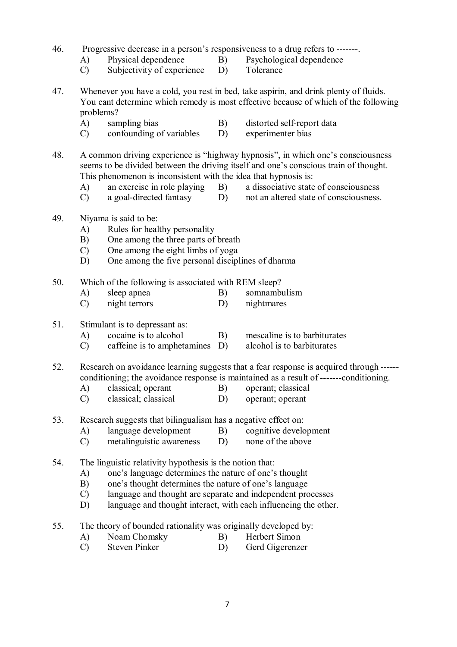- 46. Progressive decrease in a person's responsiveness to a drug refers to -------.
	- A) Physical dependence B) Psychological dependence
	- C) Subjectivity of experience D) Tolerance
- 47. Whenever you have a cold, you rest in bed, take aspirin, and drink plenty of fluids. You cant determine which remedy is most effective because of which of the following problems?
	- A) sampling bias B) distorted self-report data
	- C) confounding of variables D) experimenter bias
- 48. A common driving experience is "highway hypnosis", in which one's consciousness seems to be divided between the driving itself and one's conscious train of thought. This phenomenon is inconsistent with the idea that hypnosis is:
	- A) an exercise in role playing B) a dissociative state of consciousness
	- C) a goal-directed fantasy D) not an altered state of consciousness.
- 49. Niyama is said to be:
	- A) Rules for healthy personality
	- B) One among the three parts of breath<br>C) One among the eight limbs of yoga
	- C) One among the eight limbs of yoga
	- D) One among the five personal disciplines of dharma
- 50. Which of the following is associated with REM sleep?
	- A) sleep apnea B) somnambulism
	- C) night terrors D) nightmares
- 51. Stimulant is to depressant as:
	- A) cocaine is to alcohol B) mescaline is to barbiturates
	- C) caffeine is to amphetamines D) alcohol is to barbiturates
- 52. Research on avoidance learning suggests that a fear response is acquired through ----- conditioning; the avoidance response is maintained as a result of -------conditioning.
	- A) classical; operant B) operant; classical
	- C) classical; classical D) operant; operant
- 53. Research suggests that bilingualism has a negative effect on:
	- A) language development B) cognitive development
	- C) metalinguistic awareness D) none of the above
- 54. The linguistic relativity hypothesis is the notion that:
	- A) one's language determines the nature of one's thought
	- B) one's thought determines the nature of one's language
	- C) language and thought are separate and independent processes
	- D) language and thought interact, with each influencing the other.
- 55. The theory of bounded rationality was originally developed by:<br>A) Noam Chomsky B) Herbert Simon
	- A) Noam Chomsky B)
	- C) Steven Pinker D) Gerd Gigerenzer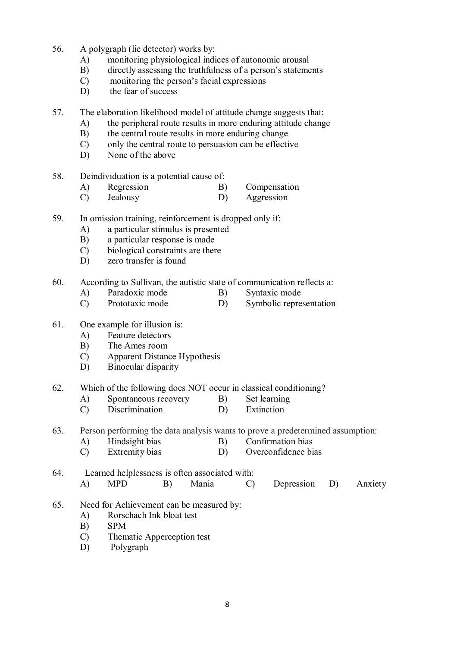- 56. A polygraph (lie detector) works by:
	- A) monitoring physiological indices of autonomic arousal
	- B) directly assessing the truthfulness of a person's statements
	- C) monitoring the person's facial expressions
	- D) the fear of success
- 57. The elaboration likelihood model of attitude change suggests that:
	- A) the peripheral route results in more enduring attitude change
	- B) the central route results in more enduring change
	- C) only the central route to persuasion can be effective
	- D) None of the above
- 58. Deindividuation is a potential cause of:
	- A) Regression B) Compensation
	- C) Jealousy D) Aggression
- 59. In omission training, reinforcement is dropped only if:
	- A) a particular stimulus is presented
	- B) a particular response is made
	- C) biological constraints are there
	- D) zero transfer is found
- 60. According to Sullivan, the autistic state of communication reflects a:
	- A) Paradoxic mode B) Syntaxic mode
	- C) Prototaxic mode D) Symbolic representation
- 61. One example for illusion is:
	- A) Feature detectors
	- B) The Ames room
	- C) Apparent Distance Hypothesis
	- D) Binocular disparity
- 62. Which of the following does NOT occur in classical conditioning?
	- A) Spontaneous recovery B) Set learning
	- C) Discrimination D) Extinction
- 63. Person performing the data analysis wants to prove a predetermined assumption:
	- A) Hindsight bias B) Confirmation bias<br>C) Extremity bias B) Overconfidence bi
	- D) Overconfidence bias
- 64. Learned helplessness is often associated with: A) MPD B) Mania C) Depression D) Anxiety
- 65. Need for Achievement can be measured by:
	- A) Rorschach Ink bloat test
	- B) SPM
	- C) Thematic Apperception test
	- D) Polygraph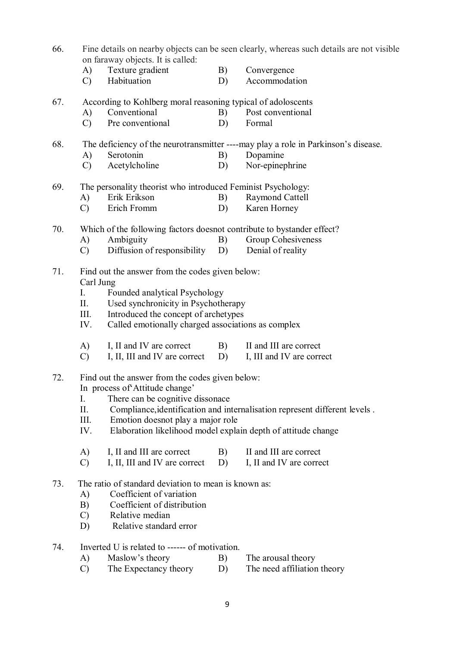- 66. Fine details on nearby objects can be seen clearly, whereas such details are not visible on faraway objects. It is called:
	- A) Texture gradient B) Convergence
	- C) Habituation D) Accommodation
- 67. According to Kohlberg moral reasoning typical of adoloscents
	- A) Conventional B) Post conventional
	- C) Pre conventional D) Formal

# 68. The deficiency of the neurotransmitter ----may play a role in Parkinson's disease.

- A) Serotonin B) Dopamine
- C) Acetylcholine D) Nor-epinephrine
- 69. The personality theorist who introduced Feminist Psychology:
	- A) Erik Erikson B) Raymond Cattell
		- C) Erich Fromm D) Karen Horney
- 70. Which of the following factors doesnot contribute to bystander effect?
	- A) Ambiguity B) Group Cohesiveness<br>
	C) Diffusion of responsibility D) Denial of reality
	- $(C)$  Diffusion of responsibility D)
- 71. Find out the answer from the codes given below: Carl Jung
	- I. Founded analytical Psychology
	- II. Used synchronicity in Psychotherapy
	- III. Introduced the concept of archetypes
	- IV. Called emotionally charged associations as complex
	- A) I, II and IV are correct B) II and III are correct
	- C) I, II, III and IV are correct D) I, III and IV are correct
- 72. Find out the answer from the codes given below:

In process of'Attitude change'

- I. There can be cognitive dissonace<br>II. Compliance identification and in
- Compliance, identification and internalisation represent different levels.
- III. Emotion doesnot play a major role
- IV. Elaboration likelihood model explain depth of attitude change
- A) I, II and III are correct B) II and III are correct C) I, II, III and IV are correct D) I, II and IV are correct
- $C$ ) I, II, III and IV are correct D)
- 73. The ratio of standard deviation to mean is known as:
	- A) Coefficient of variation
	- B) Coefficient of distribution
	- C) Relative median
	- D) Relative standard error
- 74. Inverted U is related to ------ of motivation.
	- A) Maslow's theory B) The arousal theory
	- C) The Expectancy theory D) The need affiliation theory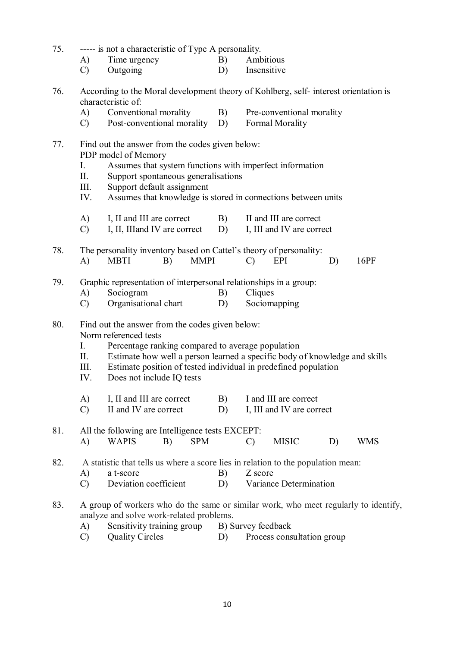| 75. | ----- is not a characteristic of Type A personality.                                                                                     |                                                                                                                                              |    |                                 |    |            |  |  |  |  |  |
|-----|------------------------------------------------------------------------------------------------------------------------------------------|----------------------------------------------------------------------------------------------------------------------------------------------|----|---------------------------------|----|------------|--|--|--|--|--|
|     | A)                                                                                                                                       | Time urgency                                                                                                                                 | B) | Ambitious                       |    |            |  |  |  |  |  |
|     | $\mathcal{C}$                                                                                                                            | Outgoing                                                                                                                                     | D) | Insensitive                     |    |            |  |  |  |  |  |
| 76. | According to the Moral development theory of Kohlberg, self-interest orientation is<br>characteristic of:                                |                                                                                                                                              |    |                                 |    |            |  |  |  |  |  |
|     | A)                                                                                                                                       | Conventional morality                                                                                                                        |    | B)<br>Pre-conventional morality |    |            |  |  |  |  |  |
|     | $\mathcal{C}$ )                                                                                                                          | Post-conventional morality                                                                                                                   |    | Formal Morality<br>D)           |    |            |  |  |  |  |  |
| 77. | Find out the answer from the codes given below:<br>PDP model of Memory<br>I.<br>Assumes that system functions with imperfect information |                                                                                                                                              |    |                                 |    |            |  |  |  |  |  |
|     | П.                                                                                                                                       | Support spontaneous generalisations                                                                                                          |    |                                 |    |            |  |  |  |  |  |
|     | Support default assignment<br>III.<br>Assumes that knowledge is stored in connections between units<br>IV.                               |                                                                                                                                              |    |                                 |    |            |  |  |  |  |  |
|     | A)                                                                                                                                       | I, II and III are correct                                                                                                                    | B) | II and III are correct          |    |            |  |  |  |  |  |
|     | $\mathcal{C}$                                                                                                                            | I, II, III and IV are correct                                                                                                                | D) | I, III and IV are correct       |    |            |  |  |  |  |  |
|     |                                                                                                                                          |                                                                                                                                              |    |                                 |    |            |  |  |  |  |  |
| 78. | A)                                                                                                                                       | The personality inventory based on Cattel's theory of personality:<br><b>MMPI</b><br>16PF<br><b>MBTI</b><br>B)<br>$\mathcal{C}$<br>D)<br>EPI |    |                                 |    |            |  |  |  |  |  |
| 79. | Graphic representation of interpersonal relationships in a group:                                                                        |                                                                                                                                              |    |                                 |    |            |  |  |  |  |  |
|     | A)                                                                                                                                       | Sociogram                                                                                                                                    | B) | Cliques                         |    |            |  |  |  |  |  |
|     | $\mathcal{C}$                                                                                                                            | Organisational chart                                                                                                                         | D) | Sociomapping                    |    |            |  |  |  |  |  |
| 80. | Find out the answer from the codes given below:<br>Norm referenced tests                                                                 |                                                                                                                                              |    |                                 |    |            |  |  |  |  |  |
|     | I.                                                                                                                                       | Percentage ranking compared to average population                                                                                            |    |                                 |    |            |  |  |  |  |  |
|     | II.                                                                                                                                      | Estimate how well a person learned a specific body of knowledge and skills                                                                   |    |                                 |    |            |  |  |  |  |  |
|     | III.                                                                                                                                     | Estimate position of tested individual in predefined population                                                                              |    |                                 |    |            |  |  |  |  |  |
|     | IV.                                                                                                                                      | Does not include IQ tests                                                                                                                    |    |                                 |    |            |  |  |  |  |  |
|     | A)                                                                                                                                       | I, II and III are correct                                                                                                                    | B) | I and III are correct           |    |            |  |  |  |  |  |
|     | $\mathcal{C}$                                                                                                                            | II and IV are correct                                                                                                                        | D) | I, III and IV are correct       |    |            |  |  |  |  |  |
| 81. |                                                                                                                                          | All the following are Intelligence tests EXCEPT:                                                                                             |    |                                 |    |            |  |  |  |  |  |
|     | A)                                                                                                                                       | <b>WAPIS</b><br><b>SPM</b><br>B)                                                                                                             |    | <b>MISIC</b><br>$\mathcal{C}$   | D) | <b>WMS</b> |  |  |  |  |  |
| 82. |                                                                                                                                          | A statistic that tells us where a score lies in relation to the population mean:                                                             |    |                                 |    |            |  |  |  |  |  |
|     | A)                                                                                                                                       | a t-score                                                                                                                                    | B) | Z score                         |    |            |  |  |  |  |  |
|     | Deviation coefficient<br>Variance Determination<br>D)<br>$\mathcal{C}$                                                                   |                                                                                                                                              |    |                                 |    |            |  |  |  |  |  |
| 83. |                                                                                                                                          | A group of workers who do the same or similar work, who meet regularly to identify,<br>analyze and solve work-related problems.              |    |                                 |    |            |  |  |  |  |  |
|     | A)                                                                                                                                       | Sensitivity training group                                                                                                                   |    | B) Survey feedback              |    |            |  |  |  |  |  |
|     | $\mathcal{C}$                                                                                                                            | <b>Quality Circles</b>                                                                                                                       | D) | Process consultation group      |    |            |  |  |  |  |  |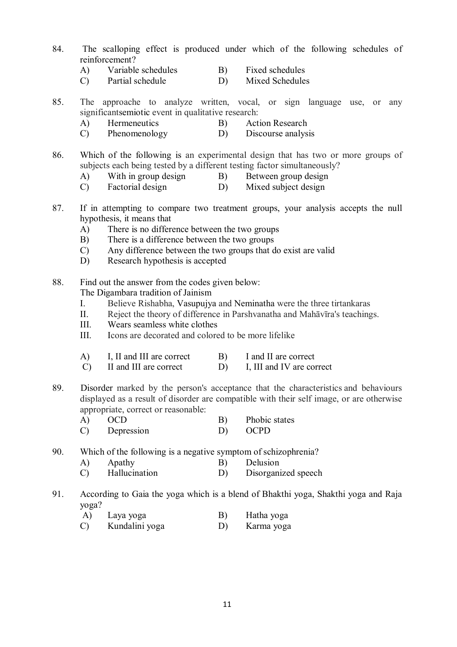- 84. The scalloping effect is produced under which of the following schedules of reinforcement?
	- A) Variable schedules B) Fixed schedules
	- C) Partial schedule D) Mixed Schedules
- 85. The approache to analyze written, vocal, or sign language use, or any significantsemiotic event in qualitative research:
	- A) Hermeneutics B) Action Research
	- C) Phenomenology D) Discourse analysis
- 86. Which of the following is an experimental design that has two or more groups of subjects each being tested by a different testing factor simultaneously?
	- A) With in group design B) Between group design
	- C) Factorial design D) Mixed subject design
- 87. If in attempting to compare two treatment groups, your analysis accepts the null hypothesis, it means that
	- A) There is no difference between the two groups
	- B) There is a difference between the two groups
	- C) Any difference between the two groups that do exist are valid
	- D) Research hypothesis is accepted
- 88. Find out the answer from the codes given below:
	- The Digambara tradition of Jainism
	- I. Believe Rishabha, Vasupujya and Neminatha were the three tirtankaras
	- II. Reject the theory of difference in Parshvanatha and Mahāvīra's teachings.
	- III. Wears seamless white clothes
	- III. Icons are decorated and colored to be more lifelike
	- A) I, II and III are correct B) I and II are correct C) II and III are correct B) I, III and IV are con-
	- C) II and III are correct D) I, III and IV are correct
- 89. Disorder marked by the person's acceptance that the characteristics and behaviours displayed as a result of disorder are compatible with their self image, or are otherwise appropriate, correct or reasonable:
	- A) OCD B) Phobic states
	- C) Depression D) OCPD
- 90. Which of the following is a negative symptom of schizophrenia?
	- A) Apathy B) Delusion<br>
	C) Hallucination D) Disorgani
	- C) Hallucination D) Disorganized speech
- 91. According to Gaia the yoga which is a blend of Bhakthi yoga, Shakthi yoga and Raja yoga?
	- A) Laya yoga B) Hatha yoga
	- C) Kundalini yoga D) Karma yoga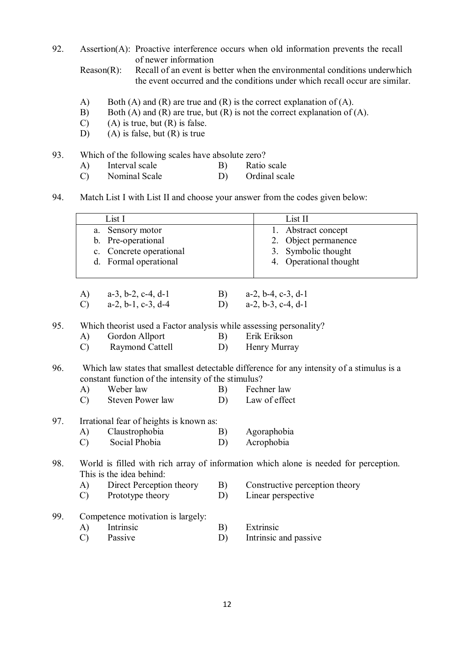92. Assertion(A): Proactive interference occurs when old information prevents the recall of newer information

Reason(R): Recall of an event is better when the environmental conditions underwhich the event occurred and the conditions under which recall occur are similar.

- A) Both (A) and (R) are true and (R) is the correct explanation of (A).
- B) Both  $(A)$  and  $(R)$  are true, but  $(R)$  is not the correct explanation of  $(A)$ .
- $(C)$  (A) is true, but  $(R)$  is false.
- D) (A) is false, but  $(R)$  is true
- 93. Which of the following scales have absolute zero?
	- A) Interval scale B) Ratio scale<br>
	C) Nominal Scale D) Ordinal scale
	- Nominal Scale
- 94. Match List I with List II and choose your answer from the codes given below:

|     |               | List I                                                             | List II |                                                                                           |
|-----|---------------|--------------------------------------------------------------------|---------|-------------------------------------------------------------------------------------------|
|     | a.            | Sensory motor                                                      |         | Abstract concept<br>1.                                                                    |
|     |               | b. Pre-operational                                                 |         | Object permanence<br>2.                                                                   |
|     |               | c. Concrete operational                                            |         | 3.<br>Symbolic thought                                                                    |
|     |               | d. Formal operational                                              |         | 4. Operational thought                                                                    |
|     |               |                                                                    |         |                                                                                           |
|     | A)            | $a-3$ , $b-2$ , $c-4$ , $d-1$                                      | B)      | $a-2$ , $b-4$ , $c-3$ , $d-1$                                                             |
|     | $\mathcal{C}$ | $a-2, b-1, c-3, d-4$                                               | D)      | $a-2$ , $b-3$ , $c-4$ , $d-1$                                                             |
| 95. |               | Which theorist used a Factor analysis while assessing personality? |         |                                                                                           |
|     | A)            | Gordon Allport                                                     | B)      | Erik Erikson                                                                              |
|     | $\mathcal{C}$ | Raymond Cattell                                                    | D)      | Henry Murray                                                                              |
| 96. |               |                                                                    |         | Which law states that smallest detectable difference for any intensity of a stimulus is a |
|     |               | constant function of the intensity of the stimulus?                |         |                                                                                           |
|     | A)            | Weber law                                                          | B)      | Fechner law                                                                               |
|     | $\mathcal{C}$ | <b>Steven Power law</b>                                            | D)      | Law of effect                                                                             |
| 97. |               | Irrational fear of heights is known as:                            |         |                                                                                           |
|     | A)            | Claustrophobia                                                     | B)      | Agoraphobia                                                                               |
|     | $\mathcal{C}$ | Social Phobia                                                      | D)      | Acrophobia                                                                                |
| 98. |               | This is the idea behind:                                           |         | World is filled with rich array of information which alone is needed for perception.      |
|     | $\bf{A}$      | Direct Perception theory                                           | B)      | Constructive perception theory                                                            |
|     | $\mathcal{C}$ | Prototype theory                                                   | D)      | Linear perspective                                                                        |
|     |               |                                                                    |         |                                                                                           |
| 99. |               | Competence motivation is largely:                                  |         |                                                                                           |
|     | A)            | Intrinsic                                                          | B)      | Extrinsic                                                                                 |
|     | $\mathcal{C}$ | Passive                                                            | D)      | Intrinsic and passive                                                                     |
|     |               |                                                                    |         |                                                                                           |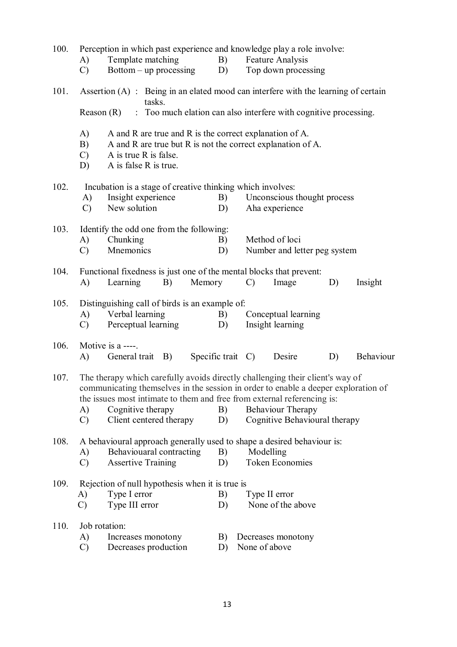| 100. | Perception in which past experience and knowledge play a role involve:                                                                                                                                                                                                                                                                                                                  |                                                                                                                                                                          |        |                   |                        |                              |                              |                             |    |           |  |  |
|------|-----------------------------------------------------------------------------------------------------------------------------------------------------------------------------------------------------------------------------------------------------------------------------------------------------------------------------------------------------------------------------------------|--------------------------------------------------------------------------------------------------------------------------------------------------------------------------|--------|-------------------|------------------------|------------------------------|------------------------------|-----------------------------|----|-----------|--|--|
|      | A)                                                                                                                                                                                                                                                                                                                                                                                      | Template matching                                                                                                                                                        |        |                   | B)<br>Feature Analysis |                              |                              |                             |    |           |  |  |
|      | Top down processing<br>$Bottom-up processing$<br>$\mathcal{C}$<br>D)                                                                                                                                                                                                                                                                                                                    |                                                                                                                                                                          |        |                   |                        |                              |                              |                             |    |           |  |  |
| 101. |                                                                                                                                                                                                                                                                                                                                                                                         | Assertion $(A)$ : Being in an elated mood can interfere with the learning of certain                                                                                     | tasks. |                   |                        |                              |                              |                             |    |           |  |  |
|      | : Too much elation can also interfere with cognitive processing.<br>Reason $(R)$                                                                                                                                                                                                                                                                                                        |                                                                                                                                                                          |        |                   |                        |                              |                              |                             |    |           |  |  |
|      | A)<br>B)<br>$\mathcal{C}$<br>D)                                                                                                                                                                                                                                                                                                                                                         | A and R are true and R is the correct explanation of A.<br>A and R are true but R is not the correct explanation of A.<br>A is true R is false.<br>A is false R is true. |        |                   |                        |                              |                              |                             |    |           |  |  |
| 102. |                                                                                                                                                                                                                                                                                                                                                                                         | Incubation is a stage of creative thinking which involves:                                                                                                               |        |                   |                        |                              |                              |                             |    |           |  |  |
|      | A)                                                                                                                                                                                                                                                                                                                                                                                      | Insight experience                                                                                                                                                       |        |                   | B)                     |                              |                              | Unconscious thought process |    |           |  |  |
|      | $\mathcal{C}$                                                                                                                                                                                                                                                                                                                                                                           | New solution                                                                                                                                                             |        |                   | D)                     |                              |                              | Aha experience              |    |           |  |  |
| 103. |                                                                                                                                                                                                                                                                                                                                                                                         | Identify the odd one from the following:                                                                                                                                 |        |                   |                        |                              |                              |                             |    |           |  |  |
|      | A)                                                                                                                                                                                                                                                                                                                                                                                      | Chunking                                                                                                                                                                 |        |                   | B)                     |                              |                              | Method of loci              |    |           |  |  |
|      | $\mathcal{C}$                                                                                                                                                                                                                                                                                                                                                                           | Mnemonics                                                                                                                                                                |        |                   |                        |                              | Number and letter peg system |                             |    |           |  |  |
| 104. |                                                                                                                                                                                                                                                                                                                                                                                         | Functional fixedness is just one of the mental blocks that prevent:                                                                                                      |        |                   |                        |                              |                              |                             |    |           |  |  |
|      | A)                                                                                                                                                                                                                                                                                                                                                                                      | Learning<br>Memory<br>B)                                                                                                                                                 |        |                   |                        | $\mathcal{C}$                |                              | Image                       | D) | Insight   |  |  |
| 105. | Distinguishing call of birds is an example of:                                                                                                                                                                                                                                                                                                                                          |                                                                                                                                                                          |        |                   |                        |                              |                              |                             |    |           |  |  |
|      | A)                                                                                                                                                                                                                                                                                                                                                                                      | Verbal learning                                                                                                                                                          |        |                   | B)<br>D)               |                              |                              | Conceptual learning         |    |           |  |  |
|      | $\mathcal{C}$                                                                                                                                                                                                                                                                                                                                                                           | Perceptual learning                                                                                                                                                      |        |                   |                        |                              |                              | Insight learning            |    |           |  |  |
| 106. | Motive is a ----.                                                                                                                                                                                                                                                                                                                                                                       |                                                                                                                                                                          |        |                   |                        |                              |                              |                             |    |           |  |  |
|      | A)                                                                                                                                                                                                                                                                                                                                                                                      | General trait B)                                                                                                                                                         |        | Specific trait C) |                        |                              |                              | Desire                      | D) | Behaviour |  |  |
| 107. | The therapy which carefully avoids directly challenging their client's way of<br>communicating themselves in the session in order to enable a deeper exploration of<br>the issues most intimate to them and free from external referencing is:<br>Cognitive therapy<br>Behaviour Therapy<br>A)<br>B)<br>Cognitive Behavioural therapy<br>Client centered therapy<br>$\mathcal{C}$<br>D) |                                                                                                                                                                          |        |                   |                        |                              |                              |                             |    |           |  |  |
| 108. |                                                                                                                                                                                                                                                                                                                                                                                         | A behavioural approach generally used to shape a desired behaviour is:                                                                                                   |        |                   |                        |                              |                              |                             |    |           |  |  |
|      | A)                                                                                                                                                                                                                                                                                                                                                                                      | Behaviouaral contracting                                                                                                                                                 |        |                   | B)                     | Modelling                    |                              |                             |    |           |  |  |
|      | $\mathcal{C}$                                                                                                                                                                                                                                                                                                                                                                           | <b>Assertive Training</b>                                                                                                                                                |        |                   |                        | <b>Token Economies</b><br>D) |                              |                             |    |           |  |  |
| 109. |                                                                                                                                                                                                                                                                                                                                                                                         | Rejection of null hypothesis when it is true is                                                                                                                          |        |                   |                        |                              |                              |                             |    |           |  |  |
|      | A)                                                                                                                                                                                                                                                                                                                                                                                      | Type I error                                                                                                                                                             |        |                   | B)                     |                              |                              | Type II error               |    |           |  |  |
|      | $\mathcal{C}$                                                                                                                                                                                                                                                                                                                                                                           | Type III error                                                                                                                                                           |        |                   | D)                     |                              |                              | None of the above           |    |           |  |  |
| 110. | Job rotation:                                                                                                                                                                                                                                                                                                                                                                           |                                                                                                                                                                          |        |                   |                        |                              |                              |                             |    |           |  |  |
|      | A)                                                                                                                                                                                                                                                                                                                                                                                      | Increases monotony                                                                                                                                                       |        |                   | B)                     |                              |                              | Decreases monotony          |    |           |  |  |
|      | $\mathcal{C}$                                                                                                                                                                                                                                                                                                                                                                           | Decreases production                                                                                                                                                     |        |                   | D)                     |                              |                              | None of above               |    |           |  |  |